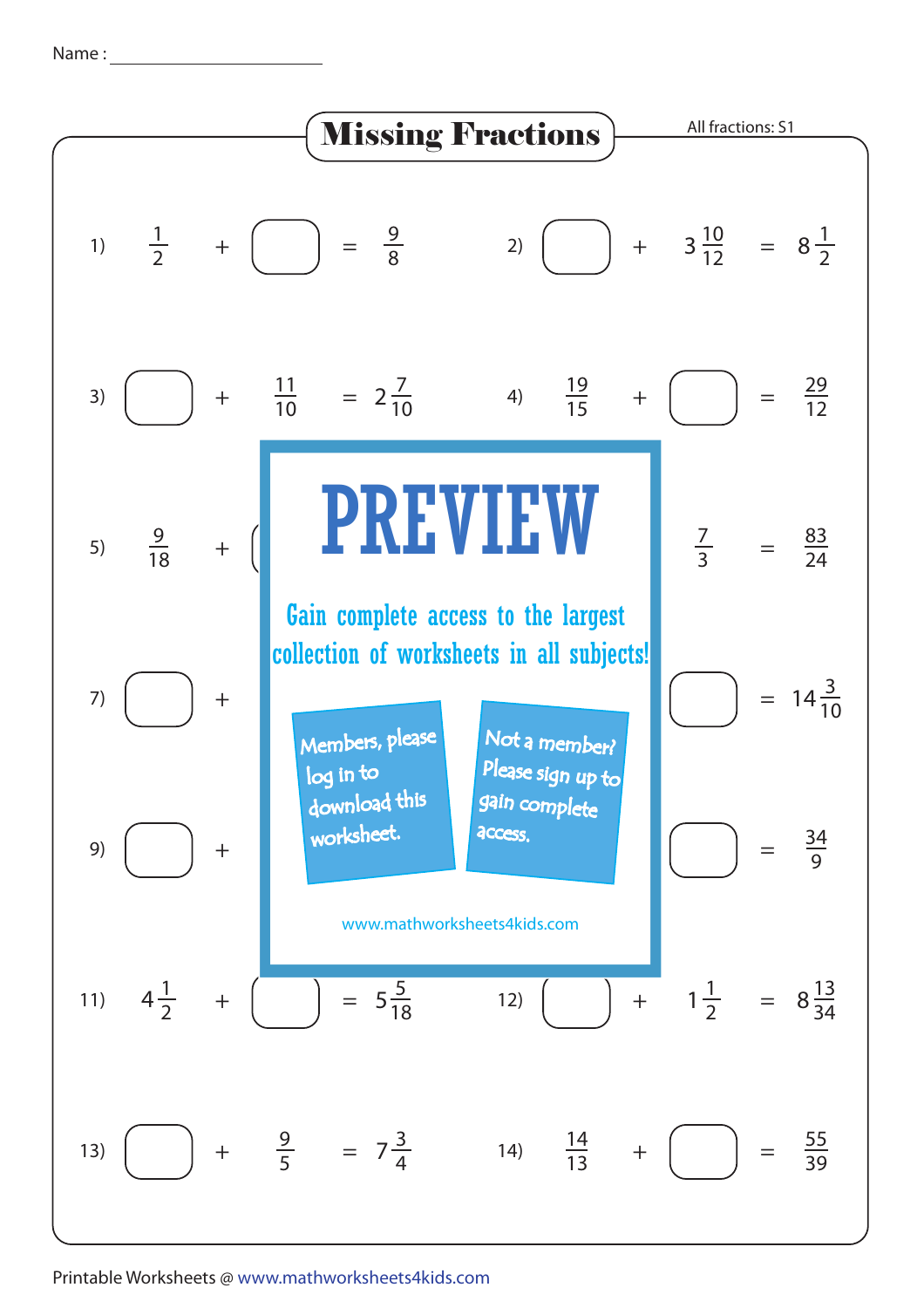